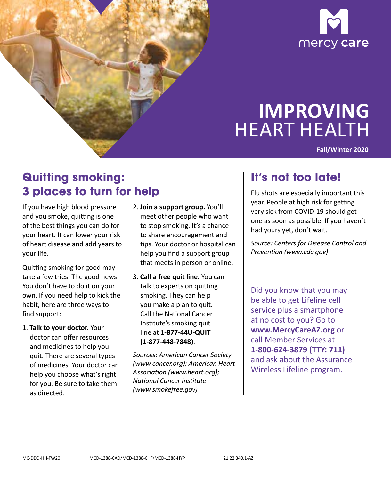



# **IMPROVING**  HEART HEALTH

**Fall/Winter 2020** 

## **Quitting smoking: 3 places to turn for help**

If you have high blood pressure and you smoke, quitting is one of the best things you can do for your heart. It can lower your risk of heart disease and add years to your life.

Quitting smoking for good may take a few tries. The good news: You don't have to do it on your own. If you need help to kick the habit, here are three ways to find support:

1. **Talk to your doctor.** Your doctor can offer resources and medicines to help you quit. There are several types of medicines. Your doctor can help you choose what's right for you. Be sure to take them as directed.

- 2. **Join a support group.** You'll meet other people who want to stop smoking. It's a chance to share encouragement and tips. Your doctor or hospital can help you find a support group that meets in person or online.
- 3. **Call a free quit line.** You can talk to experts on quitting smoking. They can help you make a plan to quit. Call the National Cancer Institute's smoking quit line at **1-877-44U-QUIT (1-877-448-7848)**.

*Sources: American Cancer Society ([www.cancer.org\)](http://www.cancer.org); American Heart Association (www.heart.org); National Cancer Institute (www.smokefree.gov)* 

#### **It's not too late!**

Flu shots are especially important this year. People at high risk for getting very sick from COVID-19 should get one as soon as possible. If you haven't had yours yet, don't wait.

*Source: Centers for Disease Control and Prevention (www.cdc.gov)* 

Did you know that you may be able to get Lifeline cell service plus a smartphone at no cost to you? Go to **www.MercyCareAZ.org** or call Member Services at **1-800-624-3879 (TTY: 711)**  and ask about the Assurance Wireless Lifeline program.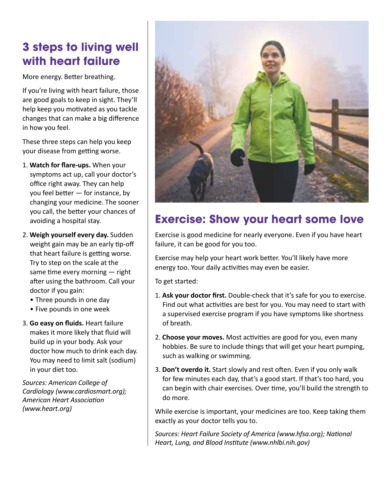## **3 steps to living well with heart failure**

More energy. Better breathing.

If you're living with heart failure, those are good goals to keep in sight. They'll help keep you motivated as you tackle changes that can make a big difference in how you feel.

These three steps can help you keep your disease from getting worse.

- 1. **Watch for flare-ups.** When your symptoms act up, call your doctor's office right away. They can help you feel better — for instance, by changing your medicine. The sooner you call, the better your chances of avoiding a hospital stay.
- 2. **Weigh yourself every day.** Sudden weight gain may be an early tip-off that heart failure is getting worse. Try to step on the scale at the same time every morning — right after using the bathroom. Call your doctor if you gain:
	- •  Three pounds in one day
	- •  Five pounds in one week
- 3. **Go easy on fluids.** Heart failure makes it more likely that fluid will build up in your body. Ask your doctor how much to drink each day. You may need to limit salt (sodium) in your diet too.

*Sources: American College of Cardiology (www.cardiosmart.org); American Heart Association (www.heart.org)* 



## **Exercise: Show your heart some love**

Exercise is good medicine for nearly everyone. Even if you have heart failure, it can be good for you too.

Exercise may help your heart work better. You'll likely have more energy too. Your daily activities may even be easier.

To get started:

- 1. **Ask your doctor first.** Double-check that it's safe for you to exercise. Find out what activities are best for you. You may need to start with a supervised exercise program if you have symptoms like shortness of breath.
- 2. **Choose your moves.** Most activities are good for you, even many hobbies. Be sure to include things that will get your heart pumping, such as walking or swimming.
- 3. **Don't overdo it.** Start slowly and rest often. Even if you only walk for few minutes each day, that's a good start. If that's too hard, you can begin with chair exercises. Over time, you'll build the strength to do more.

While exercise is important, your medicines are too. Keep taking them exactly as your doctor tells you to.

*Sources: Heart Failure Society of America (www.hfsa.org); National Heart, Lung, and Blood Institute (www.nhlbi.nih.gov)*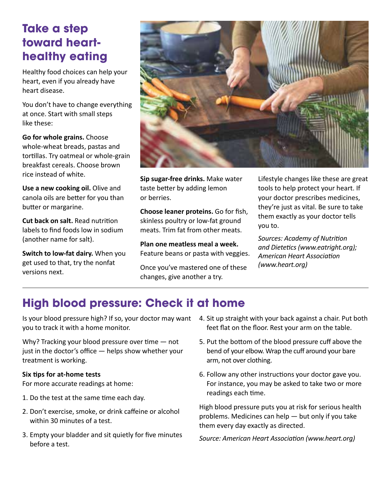## **Take a step toward hearthealthy eating**

Healthy food choices can help your heart, even if you already have heart disease.

You don't have to change everything at once. Start with small steps like these:

**Go for whole grains.** Choose whole-wheat breads, pastas and tortillas. Try oatmeal or whole-grain breakfast cereals. Choose brown rice instead of white.

**Use a new cooking oil.** Olive and canola oils are better for you than butter or margarine.

**Cut back on salt.** Read nutrition labels to find foods low in sodium (another name for salt).

**Switch to low-fat dairy.** When you get used to that, try the nonfat versions next.



**Sip sugar-free drinks.** Make water taste better by adding lemon or berries.

**Choose leaner proteins.** Go for fish, skinless poultry or low-fat ground meats. Trim fat from other meats.

**Plan one meatless meal a week.**  Feature beans or pasta with veggies.

Once you've mastered one of these changes, give another a try.

Lifestyle changes like these are great tools to help protect your heart. If your doctor prescribes medicines, they're just as vital. Be sure to take them exactly as your doctor tells you to.

*Sources: Academy of Nutrition and Dietetics (www.eatright.org); American Heart Association (www.heart.org)* 

## **High blood pressure: Check it at home**

you to track it with a home monitor.

Why? Tracking your blood pressure over time – not just in the doctor's office — helps show whether your treatment is working.

#### **Six tips for at-home tests**

For more accurate readings at home:

- 1. Do the test at the same time each day.
- 2. Don't exercise, smoke, or drink caffeine or alcohol within 30 minutes of a test.
- 3. Empty your bladder and sit quietly for five minutes before a test.
- Is your blood pressure high? If so, your doctor may want 4. Sit up straight with your back against a chair. Put both feet flat on the floor. Rest your arm on the table.
	- 5. Put the bottom of the blood pressure cuff above the bend of your elbow. Wrap the cuff around your bare arm, not over clothing.
	- 6. Follow any other instructions your doctor gave you. For instance, you may be asked to take two or more readings each time.

High blood pressure puts you at risk for serious health problems. Medicines can help — but only if you take them every day exactly as directed.

*Source: American Heart Association (www.heart.org)*